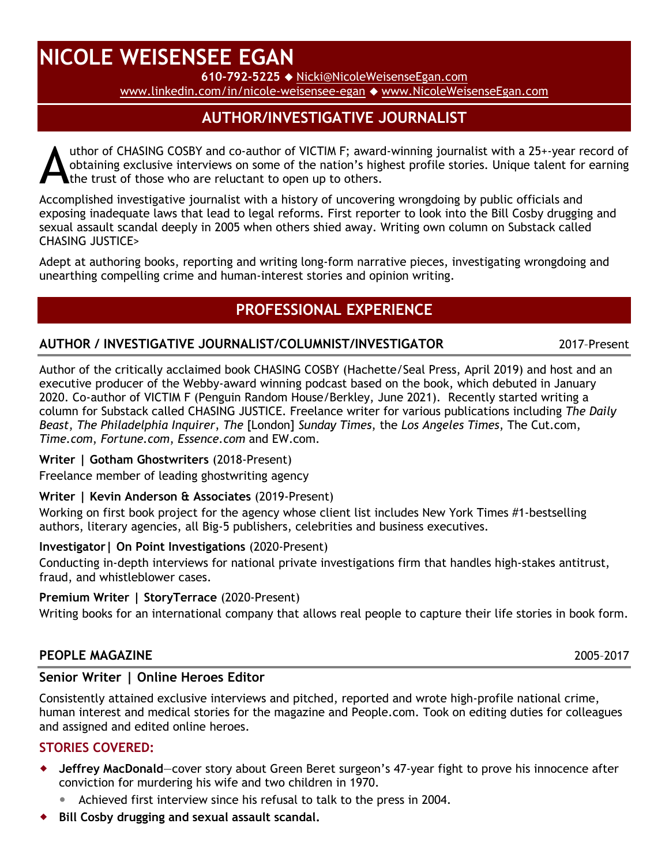# **NICOLE WEISENSEE EGAN**

**610-792-5225** [Nicki@NicoleWeisenseEgan.com](mailto:Nicki@NicoleWeisenseEgan.com)

[www.linkedin.com/in/nicole-weisensee-egan](https://www.linkedin.com/in/nicole-weisensee-egan-b8498a9/) [www.NicoleWeisenseEgan.com](http://www.nicoleweisenseegan.com/)

## **AUTHOR/INVESTIGATIVE JOURNALIST**

uthor of CHASING COSBY and co-author of VICTIM F; award-winning journalist with a 25+-year record of obtaining exclusive interviews on some of the nation's highest profile stories. Unique talent for earning the trust of those who are reluctant to open up to others. A

Accomplished investigative journalist with a history of uncovering wrongdoing by public officials and exposing inadequate laws that lead to legal reforms. First reporter to look into the Bill Cosby drugging and sexual assault scandal deeply in 2005 when others shied away. Writing own column on Substack called CHASING JUSTICE>

Adept at authoring books, reporting and writing long-form narrative pieces, investigating wrongdoing and unearthing compelling crime and human-interest stories and opinion writing.

## **PROFESSIONAL EXPERIENCE**

#### **AUTHOR / INVESTIGATIVE JOURNALIST/COLUMNIST/INVESTIGATOR** 2017–Present

Author of the critically acclaimed book CHASING COSBY (Hachette/Seal Press, April 2019) and host and an executive producer of the Webby-award winning podcast based on the book, which debuted in January 2020. Co-author of VICTIM F (Penguin Random House/Berkley, June 2021). Recently started writing a column for Substack called CHASING JUSTICE. Freelance writer for various publications including *The Daily Beast*, *The Philadelphia Inquirer*, *The* [London] *Sunday Times*, the *Los Angeles Times*, The Cut.com, *Time.com*, *Fortune.com*, *Essence.com* and EW.com.

#### **Writer | Gotham Ghostwriters** (2018-Present)

Freelance member of leading ghostwriting agency

#### **Writer | Kevin Anderson & Associates** (2019-Present)

Working on first book project for the agency whose client list includes New York Times #1-bestselling authors, literary agencies, all Big-5 publishers, celebrities and business executives.

#### **Investigator| On Point Investigations** (2020-Present)

Conducting in-depth interviews for national private investigations firm that handles high-stakes antitrust, fraud, and whistleblower cases.

#### **Premium Writer | StoryTerrace** (2020-Present)

Writing books for an international company that allows real people to capture their life stories in book form.

#### **PEOPLE MAGAZINE** 2005–2017

#### **Senior Writer | Online Heroes Editor**

Consistently attained exclusive interviews and pitched, reported and wrote high-profile national crime, human interest and medical stories for the magazine and People.com. Took on editing duties for colleagues and assigned and edited online heroes.

#### **STORIES COVERED:**

- **Jeffrey MacDonald**—cover story about Green Beret surgeon's 47-year fight to prove his innocence after conviction for murdering his wife and two children in 1970.
	- Achieved first interview since his refusal to talk to the press in 2004.
- **Bill Cosby drugging and sexual assault scandal.**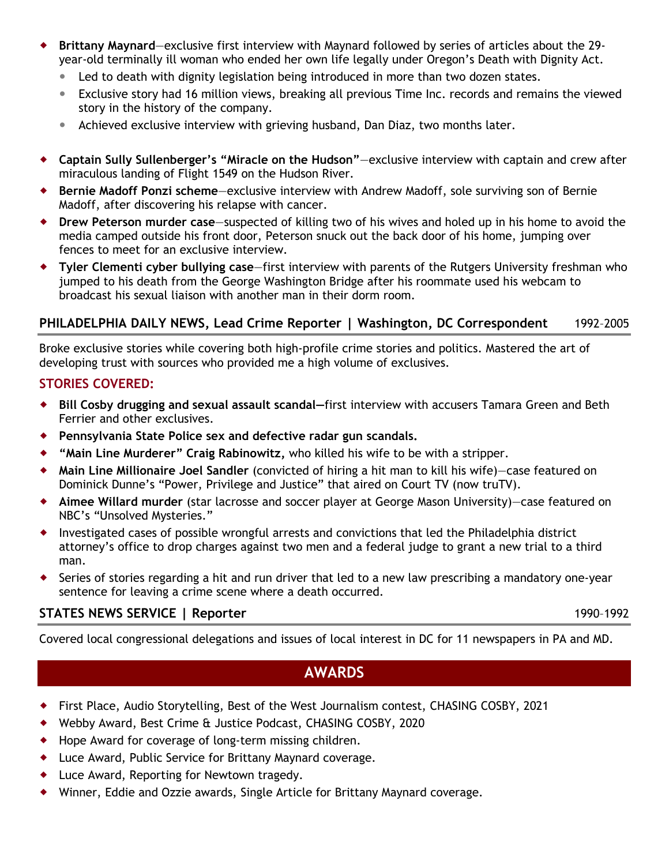- **Brittany Maynard**—exclusive first interview with Maynard followed by series of articles about the 29 year-old terminally ill woman who ended her own life legally under Oregon's Death with Dignity Act.
	- Led to death with dignity legislation being introduced in more than two dozen states.
	- Exclusive story had 16 million views, breaking all previous Time Inc. records and remains the viewed story in the history of the company.
	- Achieved exclusive interview with grieving husband, Dan Diaz, two months later.
- **Captain Sully Sullenberger's "Miracle on the Hudson"**—exclusive interview with captain and crew after miraculous landing of Flight 1549 on the Hudson River.
- **Bernie Madoff Ponzi scheme**—exclusive interview with Andrew Madoff, sole surviving son of Bernie Madoff, after discovering his relapse with cancer.
- **Drew Peterson murder case**—suspected of killing two of his wives and holed up in his home to avoid the media camped outside his front door, Peterson snuck out the back door of his home, jumping over fences to meet for an exclusive interview.
- **Tyler Clementi cyber bullying case**—first interview with parents of the Rutgers University freshman who jumped to his death from the George Washington Bridge after his roommate used his webcam to broadcast his sexual liaison with another man in their dorm room.

#### **PHILADELPHIA DAILY NEWS, Lead Crime Reporter | Washington, DC Correspondent** 1992–2005

Broke exclusive stories while covering both high-profile crime stories and politics. Mastered the art of developing trust with sources who provided me a high volume of exclusives.

#### **STORIES COVERED:**

- **Bill Cosby drugging and sexual assault scandal—**first interview with accusers Tamara Green and Beth Ferrier and other exclusives.
- **Pennsylvania State Police sex and defective radar gun scandals.**
- **"Main Line Murderer" Craig Rabinowitz,** who killed his wife to be with a stripper.
- **Main Line Millionaire Joel Sandler** (convicted of hiring a hit man to kill his wife)—case featured on Dominick Dunne's "Power, Privilege and Justice" that aired on Court TV (now truTV).
- **Aimee Willard murder** (star lacrosse and soccer player at George Mason University)—case featured on NBC's "Unsolved Mysteries."
- Investigated cases of possible wrongful arrests and convictions that led the Philadelphia district attorney's office to drop charges against two men and a federal judge to grant a new trial to a third man.
- Series of stories regarding a hit and run driver that led to a new law prescribing a mandatory one-year sentence for leaving a crime scene where a death occurred.

#### **STATES NEWS SERVICE | Reporter** 1990–1992

Covered local congressional delegations and issues of local interest in DC for 11 newspapers in PA and MD.

### **AWARDS**

- First Place, Audio Storytelling, Best of the West Journalism contest, CHASING COSBY, 2021
- Webby Award, Best Crime & Justice Podcast, CHASING COSBY, 2020
- Hope Award for coverage of long-term missing children.
- Luce Award, Public Service for Brittany Maynard coverage.
- Luce Award, Reporting for Newtown tragedy.
- Winner, Eddie and Ozzie awards, Single Article for Brittany Maynard coverage.